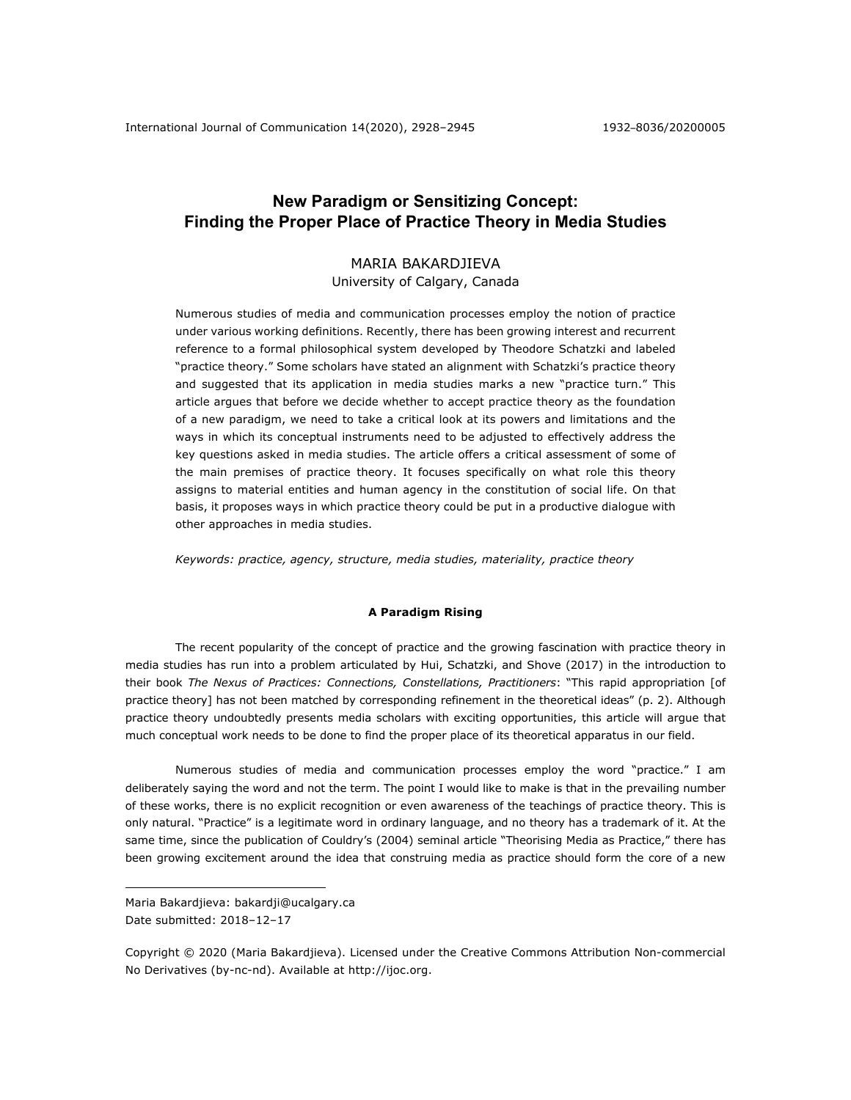# **New Paradigm or Sensitizing Concept: Finding the Proper Place of Practice Theory in Media Studies**

# MARIA BAKARDJIEVA University of Calgary, Canada

Numerous studies of media and communication processes employ the notion of practice under various working definitions. Recently, there has been growing interest and recurrent reference to a formal philosophical system developed by Theodore Schatzki and labeled "practice theory." Some scholars have stated an alignment with Schatzki's practice theory and suggested that its application in media studies marks a new "practice turn." This article argues that before we decide whether to accept practice theory as the foundation of a new paradigm, we need to take a critical look at its powers and limitations and the ways in which its conceptual instruments need to be adjusted to effectively address the key questions asked in media studies. The article offers a critical assessment of some of the main premises of practice theory. It focuses specifically on what role this theory assigns to material entities and human agency in the constitution of social life. On that basis, it proposes ways in which practice theory could be put in a productive dialogue with other approaches in media studies.

*Keywords: practice, agency, structure, media studies, materiality, practice theory*

## **A Paradigm Rising**

The recent popularity of the concept of practice and the growing fascination with practice theory in media studies has run into a problem articulated by Hui, Schatzki, and Shove (2017) in the introduction to their book *The Nexus of Practices: Connections, Constellations, Practitioners*: "This rapid appropriation [of practice theory] has not been matched by corresponding refinement in the theoretical ideas" (p. 2). Although practice theory undoubtedly presents media scholars with exciting opportunities, this article will argue that much conceptual work needs to be done to find the proper place of its theoretical apparatus in our field.

Numerous studies of media and communication processes employ the word "practice." I am deliberately saying the word and not the term. The point I would like to make is that in the prevailing number of these works, there is no explicit recognition or even awareness of the teachings of practice theory. This is only natural. "Practice" is a legitimate word in ordinary language, and no theory has a trademark of it. At the same time, since the publication of Couldry's (2004) seminal article "Theorising Media as Practice," there has been growing excitement around the idea that construing media as practice should form the core of a new

Maria Bakardjieva: bakardji@ucalgary.ca Date submitted: 2018-12-17

Copyright © 2020 (Maria Bakardjieva). Licensed under the Creative Commons Attribution Non-commercial No Derivatives (by-nc-nd). Available at http://ijoc.org.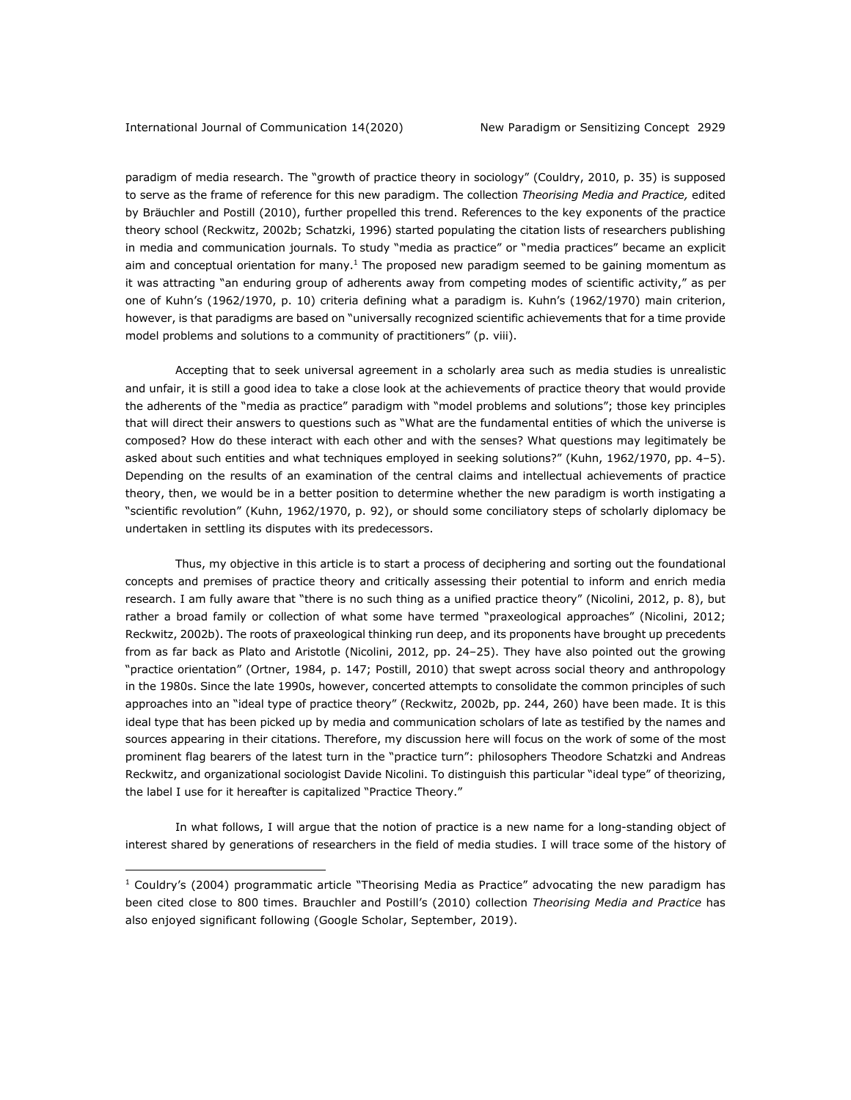paradigm of media research. The "growth of practice theory in sociology" (Couldry, 2010, p. 35) is supposed to serve as the frame of reference for this new paradigm. The collection *Theorising Media and Practice,* edited by Bräuchler and Postill (2010), further propelled this trend. References to the key exponents of the practice theory school (Reckwitz, 2002b; Schatzki, 1996) started populating the citation lists of researchers publishing in media and communication journals. To study "media as practice" or "media practices" became an explicit aim and conceptual orientation for many.<sup>1</sup> The proposed new paradigm seemed to be gaining momentum as it was attracting "an enduring group of adherents away from competing modes of scientific activity," as per one of Kuhn's (1962/1970, p. 10) criteria defining what a paradigm is. Kuhn's (1962/1970) main criterion, however, is that paradigms are based on "universally recognized scientific achievements that for a time provide model problems and solutions to a community of practitioners" (p. viii).

Accepting that to seek universal agreement in a scholarly area such as media studies is unrealistic and unfair, it is still a good idea to take a close look at the achievements of practice theory that would provide the adherents of the "media as practice" paradigm with "model problems and solutions"; those key principles that will direct their answers to questions such as "What are the fundamental entities of which the universe is composed? How do these interact with each other and with the senses? What questions may legitimately be asked about such entities and what techniques employed in seeking solutions?" (Kuhn, 1962/1970, pp. 4–5). Depending on the results of an examination of the central claims and intellectual achievements of practice theory, then, we would be in a better position to determine whether the new paradigm is worth instigating a "scientific revolution" (Kuhn, 1962/1970, p. 92), or should some conciliatory steps of scholarly diplomacy be undertaken in settling its disputes with its predecessors.

Thus, my objective in this article is to start a process of deciphering and sorting out the foundational concepts and premises of practice theory and critically assessing their potential to inform and enrich media research. I am fully aware that "there is no such thing as a unified practice theory" (Nicolini, 2012, p. 8), but rather a broad family or collection of what some have termed "praxeological approaches" (Nicolini, 2012; Reckwitz, 2002b). The roots of praxeological thinking run deep, and its proponents have brought up precedents from as far back as Plato and Aristotle (Nicolini, 2012, pp. 24–25). They have also pointed out the growing "practice orientation" (Ortner, 1984, p. 147; Postill, 2010) that swept across social theory and anthropology in the 1980s. Since the late 1990s, however, concerted attempts to consolidate the common principles of such approaches into an "ideal type of practice theory" (Reckwitz, 2002b, pp. 244, 260) have been made. It is this ideal type that has been picked up by media and communication scholars of late as testified by the names and sources appearing in their citations. Therefore, my discussion here will focus on the work of some of the most prominent flag bearers of the latest turn in the "practice turn": philosophers Theodore Schatzki and Andreas Reckwitz, and organizational sociologist Davide Nicolini. To distinguish this particular "ideal type" of theorizing, the label I use for it hereafter is capitalized "Practice Theory."

In what follows, I will argue that the notion of practice is a new name for a long-standing object of interest shared by generations of researchers in the field of media studies. I will trace some of the history of

 $1$  Couldry's (2004) programmatic article "Theorising Media as Practice" advocating the new paradigm has been cited close to 800 times. Brauchler and Postill's (2010) collection *Theorising Media and Practice* has also enjoyed significant following (Google Scholar, September, 2019).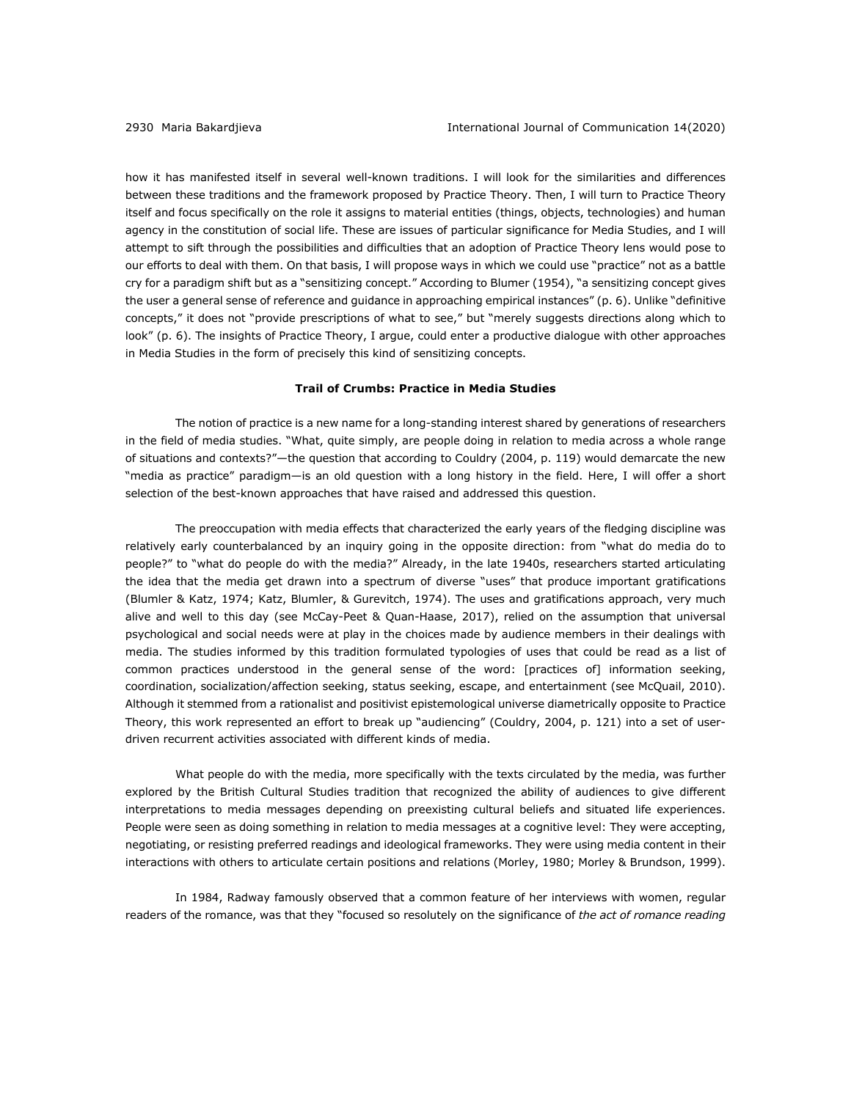how it has manifested itself in several well-known traditions. I will look for the similarities and differences between these traditions and the framework proposed by Practice Theory. Then, I will turn to Practice Theory itself and focus specifically on the role it assigns to material entities (things, objects, technologies) and human agency in the constitution of social life. These are issues of particular significance for Media Studies, and I will attempt to sift through the possibilities and difficulties that an adoption of Practice Theory lens would pose to our efforts to deal with them. On that basis, I will propose ways in which we could use "practice" not as a battle cry for a paradigm shift but as a "sensitizing concept." According to Blumer (1954), "a sensitizing concept gives the user a general sense of reference and guidance in approaching empirical instances" (p. 6). Unlike "definitive concepts," it does not "provide prescriptions of what to see," but "merely suggests directions along which to look" (p. 6). The insights of Practice Theory, I argue, could enter a productive dialogue with other approaches in Media Studies in the form of precisely this kind of sensitizing concepts.

## **Trail of Crumbs: Practice in Media Studies**

The notion of practice is a new name for a long-standing interest shared by generations of researchers in the field of media studies. "What, quite simply, are people doing in relation to media across a whole range of situations and contexts?"—the question that according to Couldry (2004, p. 119) would demarcate the new "media as practice" paradigm—is an old question with a long history in the field. Here, I will offer a short selection of the best-known approaches that have raised and addressed this question.

The preoccupation with media effects that characterized the early years of the fledging discipline was relatively early counterbalanced by an inquiry going in the opposite direction: from "what do media do to people?" to "what do people do with the media?" Already, in the late 1940s, researchers started articulating the idea that the media get drawn into a spectrum of diverse "uses" that produce important gratifications (Blumler & Katz, 1974; Katz, Blumler, & Gurevitch, 1974). The uses and gratifications approach, very much alive and well to this day (see McCay-Peet & Quan-Haase, 2017), relied on the assumption that universal psychological and social needs were at play in the choices made by audience members in their dealings with media. The studies informed by this tradition formulated typologies of uses that could be read as a list of common practices understood in the general sense of the word: [practices of] information seeking, coordination, socialization/affection seeking, status seeking, escape, and entertainment (see McQuail, 2010). Although it stemmed from a rationalist and positivist epistemological universe diametrically opposite to Practice Theory, this work represented an effort to break up "audiencing" (Couldry, 2004, p. 121) into a set of userdriven recurrent activities associated with different kinds of media.

What people do with the media, more specifically with the texts circulated by the media, was further explored by the British Cultural Studies tradition that recognized the ability of audiences to give different interpretations to media messages depending on preexisting cultural beliefs and situated life experiences. People were seen as doing something in relation to media messages at a cognitive level: They were accepting, negotiating, or resisting preferred readings and ideological frameworks. They were using media content in their interactions with others to articulate certain positions and relations (Morley, 1980; Morley & Brundson, 1999).

In 1984, Radway famously observed that a common feature of her interviews with women, regular readers of the romance, was that they "focused so resolutely on the significance of *the act of romance reading*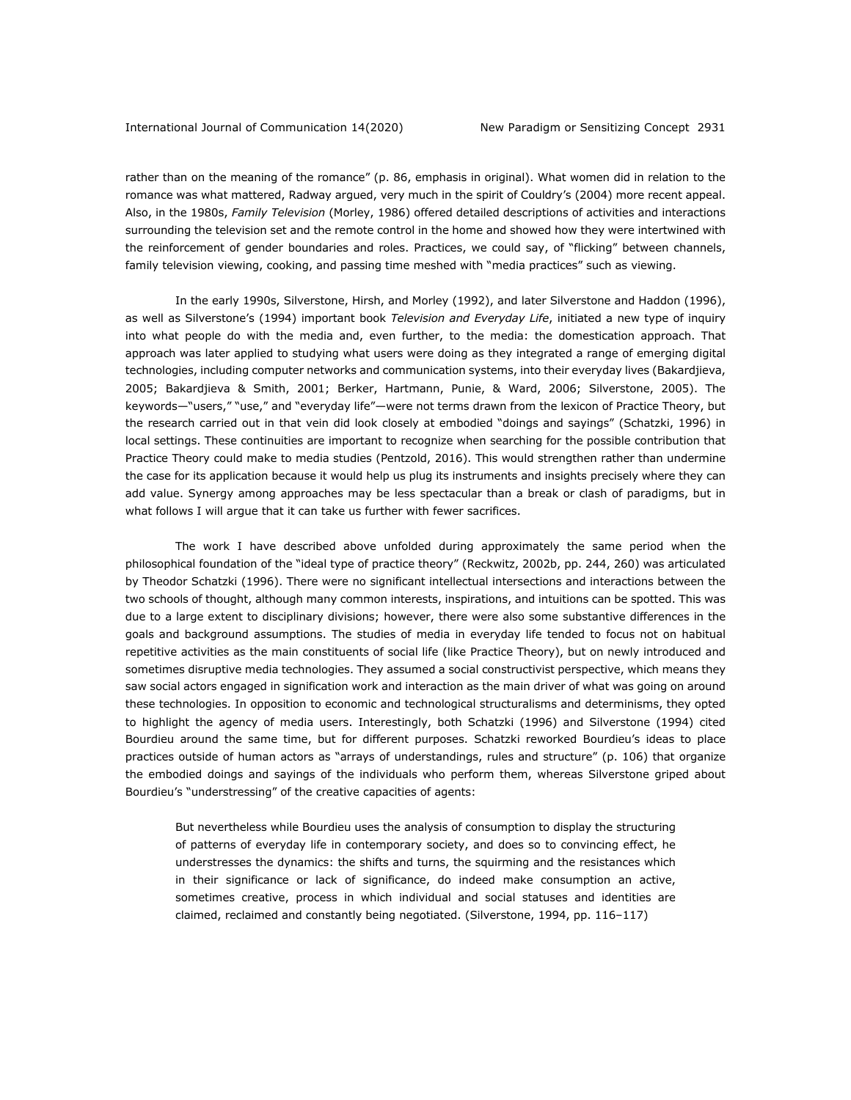rather than on the meaning of the romance" (p. 86, emphasis in original). What women did in relation to the romance was what mattered, Radway argued, very much in the spirit of Couldry's (2004) more recent appeal. Also, in the 1980s, *Family Television* (Morley, 1986) offered detailed descriptions of activities and interactions surrounding the television set and the remote control in the home and showed how they were intertwined with the reinforcement of gender boundaries and roles. Practices, we could say, of "flicking" between channels, family television viewing, cooking, and passing time meshed with "media practices" such as viewing.

In the early 1990s, Silverstone, Hirsh, and Morley (1992), and later Silverstone and Haddon (1996), as well as Silverstone's (1994) important book *Television and Everyday Life*, initiated a new type of inquiry into what people do with the media and, even further, to the media: the domestication approach. That approach was later applied to studying what users were doing as they integrated a range of emerging digital technologies, including computer networks and communication systems, into their everyday lives (Bakardjieva, 2005; Bakardjieva & Smith, 2001; Berker, Hartmann, Punie, & Ward, 2006; Silverstone, 2005). The keywords—"users," "use," and "everyday life"—were not terms drawn from the lexicon of Practice Theory, but the research carried out in that vein did look closely at embodied "doings and sayings" (Schatzki, 1996) in local settings. These continuities are important to recognize when searching for the possible contribution that Practice Theory could make to media studies (Pentzold, 2016). This would strengthen rather than undermine the case for its application because it would help us plug its instruments and insights precisely where they can add value. Synergy among approaches may be less spectacular than a break or clash of paradigms, but in what follows I will argue that it can take us further with fewer sacrifices.

The work I have described above unfolded during approximately the same period when the philosophical foundation of the "ideal type of practice theory" (Reckwitz, 2002b, pp. 244, 260) was articulated by Theodor Schatzki (1996). There were no significant intellectual intersections and interactions between the two schools of thought, although many common interests, inspirations, and intuitions can be spotted. This was due to a large extent to disciplinary divisions; however, there were also some substantive differences in the goals and background assumptions. The studies of media in everyday life tended to focus not on habitual repetitive activities as the main constituents of social life (like Practice Theory), but on newly introduced and sometimes disruptive media technologies. They assumed a social constructivist perspective, which means they saw social actors engaged in signification work and interaction as the main driver of what was going on around these technologies. In opposition to economic and technological structuralisms and determinisms, they opted to highlight the agency of media users. Interestingly, both Schatzki (1996) and Silverstone (1994) cited Bourdieu around the same time, but for different purposes. Schatzki reworked Bourdieu's ideas to place practices outside of human actors as "arrays of understandings, rules and structure" (p. 106) that organize the embodied doings and sayings of the individuals who perform them, whereas Silverstone griped about Bourdieu's "understressing" of the creative capacities of agents:

But nevertheless while Bourdieu uses the analysis of consumption to display the structuring of patterns of everyday life in contemporary society, and does so to convincing effect, he understresses the dynamics: the shifts and turns, the squirming and the resistances which in their significance or lack of significance, do indeed make consumption an active, sometimes creative, process in which individual and social statuses and identities are claimed, reclaimed and constantly being negotiated. (Silverstone, 1994, pp. 116-117)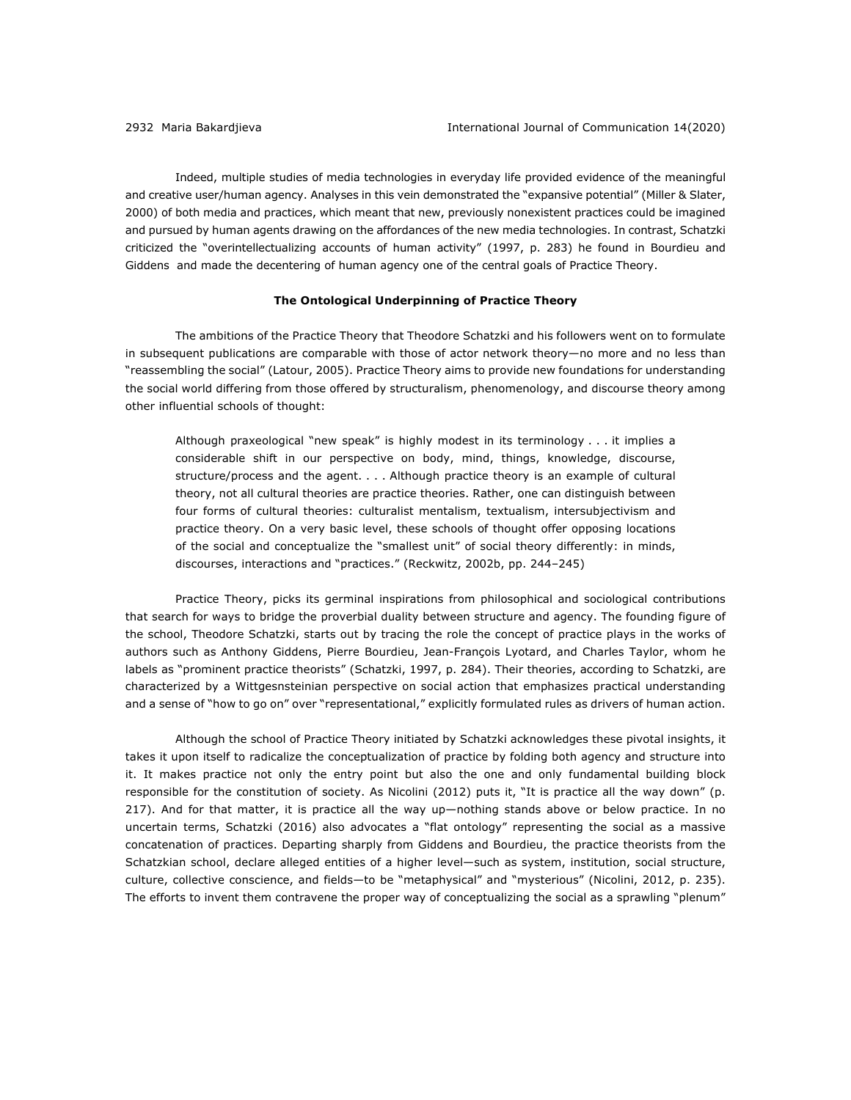Indeed, multiple studies of media technologies in everyday life provided evidence of the meaningful and creative user/human agency. Analyses in this vein demonstrated the "expansive potential" (Miller & Slater, 2000) of both media and practices, which meant that new, previously nonexistent practices could be imagined and pursued by human agents drawing on the affordances of the new media technologies. In contrast, Schatzki criticized the "overintellectualizing accounts of human activity" (1997, p. 283) he found in Bourdieu and Giddens and made the decentering of human agency one of the central goals of Practice Theory.

## **The Ontological Underpinning of Practice Theory**

The ambitions of the Practice Theory that Theodore Schatzki and his followers went on to formulate in subsequent publications are comparable with those of actor network theory—no more and no less than "reassembling the social" (Latour, 2005). Practice Theory aims to provide new foundations for understanding the social world differing from those offered by structuralism, phenomenology, and discourse theory among other influential schools of thought:

Although praxeological "new speak" is highly modest in its terminology . . . it implies a considerable shift in our perspective on body, mind, things, knowledge, discourse, structure/process and the agent. . . . Although practice theory is an example of cultural theory, not all cultural theories are practice theories. Rather, one can distinguish between four forms of cultural theories: culturalist mentalism, textualism, intersubjectivism and practice theory. On a very basic level, these schools of thought offer opposing locations of the social and conceptualize the "smallest unit" of social theory differently: in minds, discourses, interactions and "practices." (Reckwitz, 2002b, pp. 244–245)

Practice Theory, picks its germinal inspirations from philosophical and sociological contributions that search for ways to bridge the proverbial duality between structure and agency. The founding figure of the school, Theodore Schatzki, starts out by tracing the role the concept of practice plays in the works of authors such as Anthony Giddens, Pierre Bourdieu, Jean-François Lyotard, and Charles Taylor, whom he labels as "prominent practice theorists" (Schatzki, 1997, p. 284). Their theories, according to Schatzki, are characterized by a Wittgesnsteinian perspective on social action that emphasizes practical understanding and a sense of "how to go on" over "representational," explicitly formulated rules as drivers of human action.

Although the school of Practice Theory initiated by Schatzki acknowledges these pivotal insights, it takes it upon itself to radicalize the conceptualization of practice by folding both agency and structure into it. It makes practice not only the entry point but also the one and only fundamental building block responsible for the constitution of society. As Nicolini (2012) puts it, "It is practice all the way down" (p. 217). And for that matter, it is practice all the way up—nothing stands above or below practice. In no uncertain terms, Schatzki (2016) also advocates a "flat ontology" representing the social as a massive concatenation of practices. Departing sharply from Giddens and Bourdieu, the practice theorists from the Schatzkian school, declare alleged entities of a higher level—such as system, institution, social structure, culture, collective conscience, and fields—to be "metaphysical" and "mysterious" (Nicolini, 2012, p. 235). The efforts to invent them contravene the proper way of conceptualizing the social as a sprawling "plenum"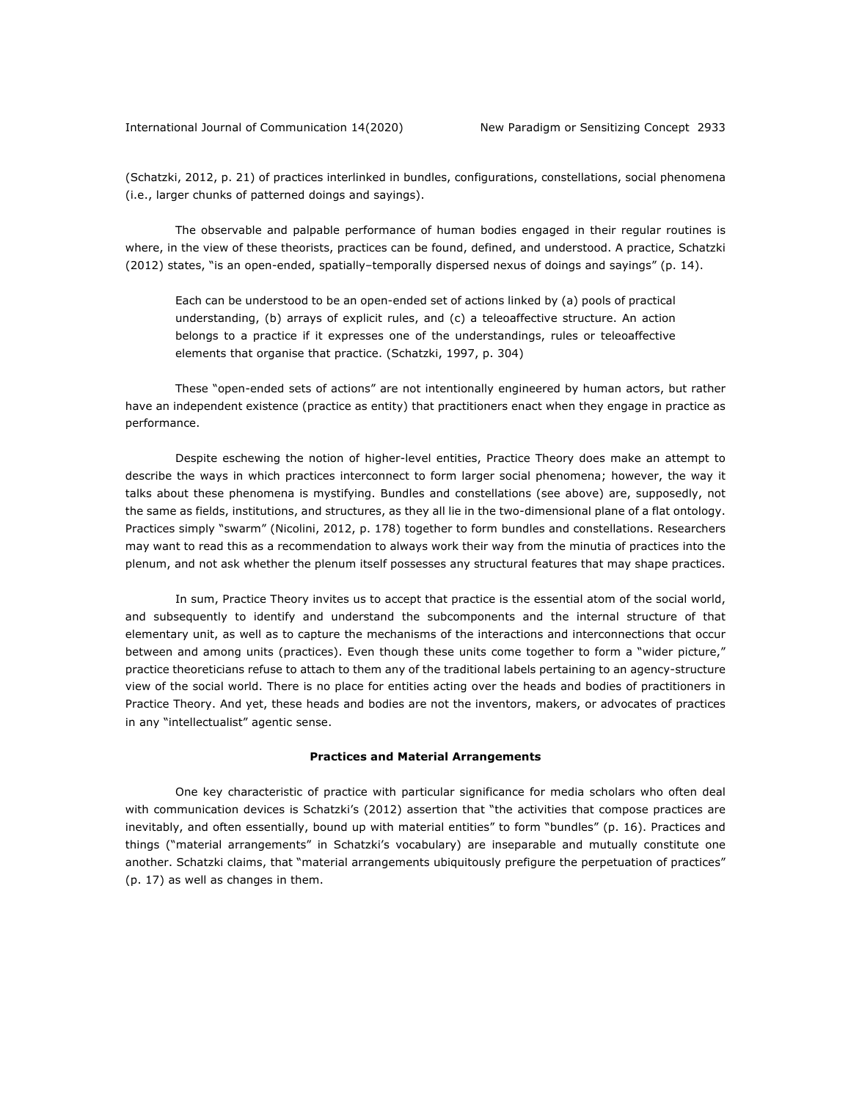(Schatzki, 2012, p. 21) of practices interlinked in bundles, configurations, constellations, social phenomena (i.e., larger chunks of patterned doings and sayings).

The observable and palpable performance of human bodies engaged in their regular routines is where, in the view of these theorists, practices can be found, defined, and understood. A practice, Schatzki (2012) states, "is an open-ended, spatially–temporally dispersed nexus of doings and sayings" (p. 14).

Each can be understood to be an open-ended set of actions linked by (a) pools of practical understanding, (b) arrays of explicit rules, and (c) a teleoaffective structure. An action belongs to a practice if it expresses one of the understandings, rules or teleoaffective elements that organise that practice. (Schatzki, 1997, p. 304)

These "open-ended sets of actions" are not intentionally engineered by human actors, but rather have an independent existence (practice as entity) that practitioners enact when they engage in practice as performance.

Despite eschewing the notion of higher-level entities, Practice Theory does make an attempt to describe the ways in which practices interconnect to form larger social phenomena; however, the way it talks about these phenomena is mystifying. Bundles and constellations (see above) are, supposedly, not the same as fields, institutions, and structures, as they all lie in the two-dimensional plane of a flat ontology. Practices simply "swarm" (Nicolini, 2012, p. 178) together to form bundles and constellations. Researchers may want to read this as a recommendation to always work their way from the minutia of practices into the plenum, and not ask whether the plenum itself possesses any structural features that may shape practices.

In sum, Practice Theory invites us to accept that practice is the essential atom of the social world, and subsequently to identify and understand the subcomponents and the internal structure of that elementary unit, as well as to capture the mechanisms of the interactions and interconnections that occur between and among units (practices). Even though these units come together to form a "wider picture," practice theoreticians refuse to attach to them any of the traditional labels pertaining to an agency-structure view of the social world. There is no place for entities acting over the heads and bodies of practitioners in Practice Theory. And yet, these heads and bodies are not the inventors, makers, or advocates of practices in any "intellectualist" agentic sense.

#### **Practices and Material Arrangements**

One key characteristic of practice with particular significance for media scholars who often deal with communication devices is Schatzki's (2012) assertion that "the activities that compose practices are inevitably, and often essentially, bound up with material entities" to form "bundles" (p. 16). Practices and things ("material arrangements" in Schatzki's vocabulary) are inseparable and mutually constitute one another. Schatzki claims, that "material arrangements ubiquitously prefigure the perpetuation of practices" (p. 17) as well as changes in them.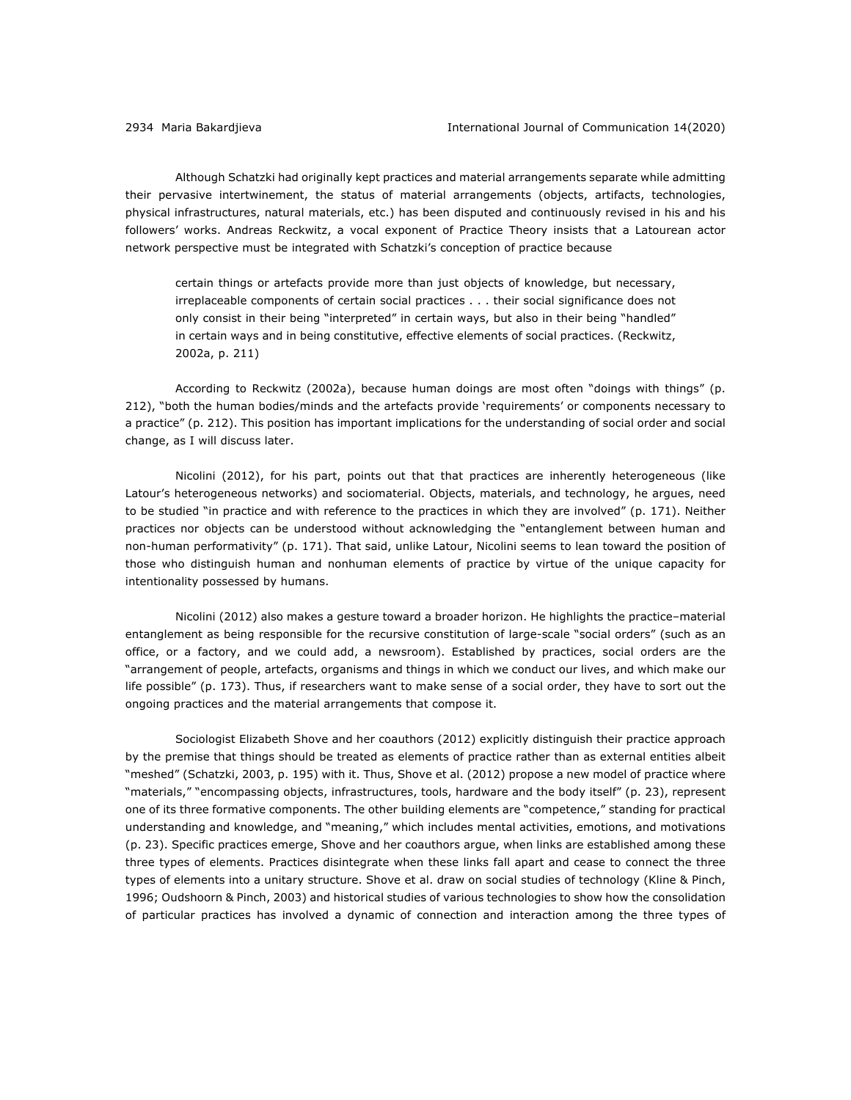Although Schatzki had originally kept practices and material arrangements separate while admitting their pervasive intertwinement, the status of material arrangements (objects, artifacts, technologies, physical infrastructures, natural materials, etc.) has been disputed and continuously revised in his and his followers' works. Andreas Reckwitz, a vocal exponent of Practice Theory insists that a Latourean actor network perspective must be integrated with Schatzki's conception of practice because

certain things or artefacts provide more than just objects of knowledge, but necessary, irreplaceable components of certain social practices . . . their social significance does not only consist in their being "interpreted" in certain ways, but also in their being "handled" in certain ways and in being constitutive, effective elements of social practices. (Reckwitz, 2002a, p. 211)

According to Reckwitz (2002a), because human doings are most often "doings with things" (p. 212), "both the human bodies/minds and the artefacts provide 'requirements' or components necessary to a practice" (p. 212). This position has important implications for the understanding of social order and social change, as I will discuss later.

Nicolini (2012), for his part, points out that that practices are inherently heterogeneous (like Latour's heterogeneous networks) and sociomaterial. Objects, materials, and technology, he argues, need to be studied "in practice and with reference to the practices in which they are involved" (p. 171). Neither practices nor objects can be understood without acknowledging the "entanglement between human and non-human performativity" (p. 171). That said, unlike Latour, Nicolini seems to lean toward the position of those who distinguish human and nonhuman elements of practice by virtue of the unique capacity for intentionality possessed by humans.

Nicolini (2012) also makes a gesture toward a broader horizon. He highlights the practice–material entanglement as being responsible for the recursive constitution of large-scale "social orders" (such as an office, or a factory, and we could add, a newsroom). Established by practices, social orders are the "arrangement of people, artefacts, organisms and things in which we conduct our lives, and which make our life possible" (p. 173). Thus, if researchers want to make sense of a social order, they have to sort out the ongoing practices and the material arrangements that compose it.

Sociologist Elizabeth Shove and her coauthors (2012) explicitly distinguish their practice approach by the premise that things should be treated as elements of practice rather than as external entities albeit "meshed" (Schatzki, 2003, p. 195) with it. Thus, Shove et al. (2012) propose a new model of practice where "materials," "encompassing objects, infrastructures, tools, hardware and the body itself" (p. 23), represent one of its three formative components. The other building elements are "competence," standing for practical understanding and knowledge, and "meaning," which includes mental activities, emotions, and motivations (p. 23). Specific practices emerge, Shove and her coauthors argue, when links are established among these three types of elements. Practices disintegrate when these links fall apart and cease to connect the three types of elements into a unitary structure. Shove et al. draw on social studies of technology (Kline & Pinch, 1996; Oudshoorn & Pinch, 2003) and historical studies of various technologies to show how the consolidation of particular practices has involved a dynamic of connection and interaction among the three types of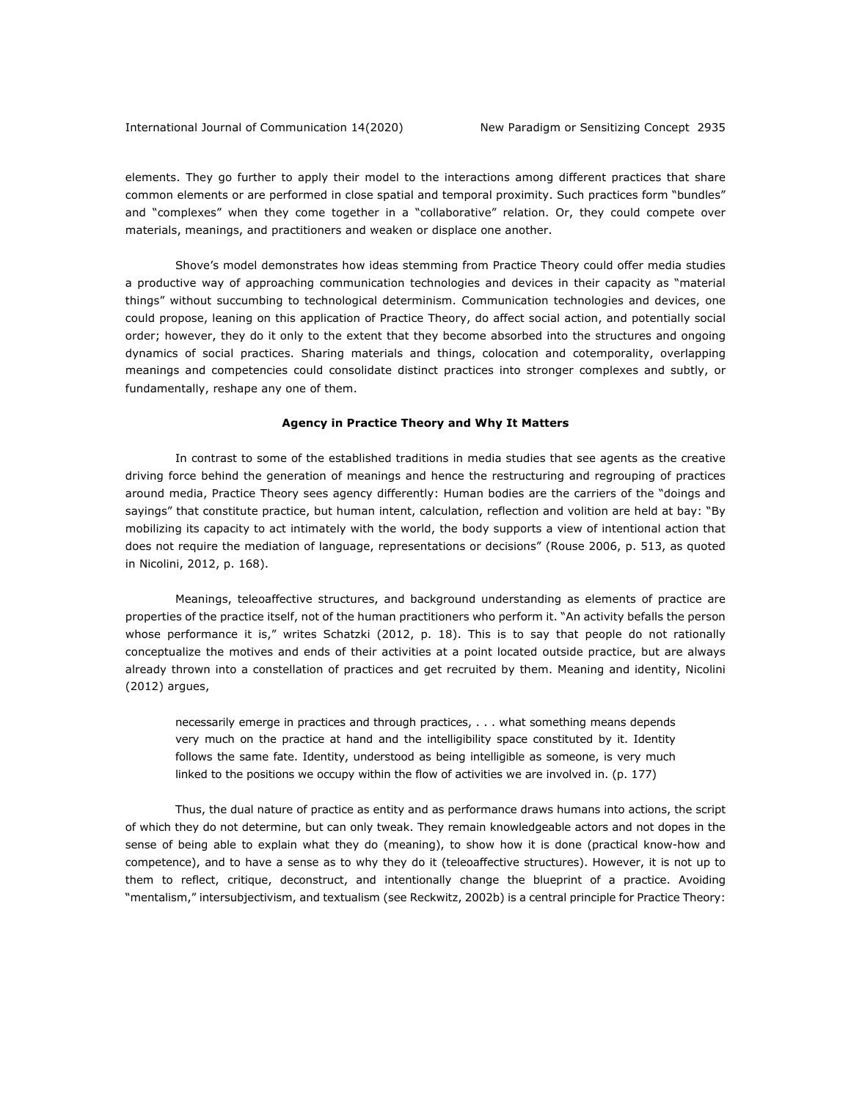elements. They go further to apply their model to the interactions among different practices that share common elements or are performed in close spatial and temporal proximity. Such practices form "bundles" and "complexes" when they come together in a "collaborative" relation. Or, they could compete over materials, meanings, and practitioners and weaken or displace one another.

Shove's model demonstrates how ideas stemming from Practice Theory could offer media studies a productive way of approaching communication technologies and devices in their capacity as "material things" without succumbing to technological determinism. Communication technologies and devices, one could propose, leaning on this application of Practice Theory, do affect social action, and potentially social order; however, they do it only to the extent that they become absorbed into the structures and ongoing dynamics of social practices. Sharing materials and things, colocation and cotemporality, overlapping meanings and competencies could consolidate distinct practices into stronger complexes and subtly, or fundamentally, reshape any one of them.

#### **Agency in Practice Theory and Why It Matters**

In contrast to some of the established traditions in media studies that see agents as the creative driving force behind the generation of meanings and hence the restructuring and regrouping of practices around media, Practice Theory sees agency differently: Human bodies are the carriers of the "doings and sayings" that constitute practice, but human intent, calculation, reflection and volition are held at bay: "By mobilizing its capacity to act intimately with the world, the body supports a view of intentional action that does not require the mediation of language, representations or decisions" (Rouse 2006, p. 513, as quoted in Nicolini, 2012, p. 168).

Meanings, teleoaffective structures, and background understanding as elements of practice are properties of the practice itself, not of the human practitioners who perform it. "An activity befalls the person whose performance it is," writes Schatzki (2012, p. 18). This is to say that people do not rationally conceptualize the motives and ends of their activities at a point located outside practice, but are always already thrown into a constellation of practices and get recruited by them. Meaning and identity, Nicolini (2012) argues,

necessarily emerge in practices and through practices, . . . what something means depends very much on the practice at hand and the intelligibility space constituted by it. Identity follows the same fate. Identity, understood as being intelligible as someone, is very much linked to the positions we occupy within the flow of activities we are involved in. (p. 177)

Thus, the dual nature of practice as entity and as performance draws humans into actions, the script of which they do not determine, but can only tweak. They remain knowledgeable actors and not dopes in the sense of being able to explain what they do (meaning), to show how it is done (practical know-how and competence), and to have a sense as to why they do it (teleoaffective structures). However, it is not up to them to reflect, critique, deconstruct, and intentionally change the blueprint of a practice. Avoiding "mentalism," intersubjectivism, and textualism (see Reckwitz, 2002b) is a central principle for Practice Theory: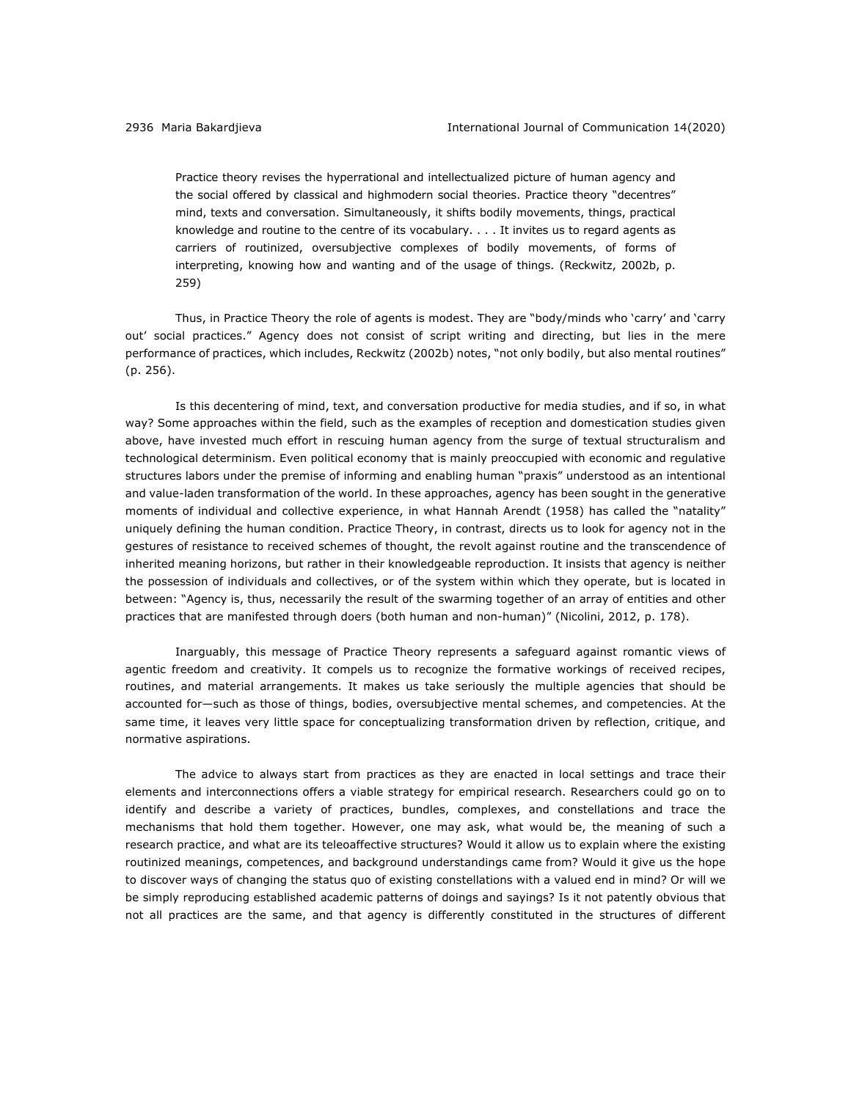Practice theory revises the hyperrational and intellectualized picture of human agency and the social offered by classical and highmodern social theories. Practice theory "decentres" mind, texts and conversation. Simultaneously, it shifts bodily movements, things, practical knowledge and routine to the centre of its vocabulary. . . . It invites us to regard agents as carriers of routinized, oversubjective complexes of bodily movements, of forms of interpreting, knowing how and wanting and of the usage of things. (Reckwitz, 2002b, p. 259)

Thus, in Practice Theory the role of agents is modest. They are "body/minds who 'carry' and 'carry out' social practices." Agency does not consist of script writing and directing, but lies in the mere performance of practices, which includes, Reckwitz (2002b) notes, "not only bodily, but also mental routines" (p. 256).

Is this decentering of mind, text, and conversation productive for media studies, and if so, in what way? Some approaches within the field, such as the examples of reception and domestication studies given above, have invested much effort in rescuing human agency from the surge of textual structuralism and technological determinism. Even political economy that is mainly preoccupied with economic and regulative structures labors under the premise of informing and enabling human "praxis" understood as an intentional and value-laden transformation of the world. In these approaches, agency has been sought in the generative moments of individual and collective experience, in what Hannah Arendt (1958) has called the "natality" uniquely defining the human condition. Practice Theory, in contrast, directs us to look for agency not in the gestures of resistance to received schemes of thought, the revolt against routine and the transcendence of inherited meaning horizons, but rather in their knowledgeable reproduction. It insists that agency is neither the possession of individuals and collectives, or of the system within which they operate, but is located in between: "Agency is, thus, necessarily the result of the swarming together of an array of entities and other practices that are manifested through doers (both human and non-human)" (Nicolini, 2012, p. 178).

Inarguably, this message of Practice Theory represents a safeguard against romantic views of agentic freedom and creativity. It compels us to recognize the formative workings of received recipes, routines, and material arrangements. It makes us take seriously the multiple agencies that should be accounted for—such as those of things, bodies, oversubjective mental schemes, and competencies. At the same time, it leaves very little space for conceptualizing transformation driven by reflection, critique, and normative aspirations.

The advice to always start from practices as they are enacted in local settings and trace their elements and interconnections offers a viable strategy for empirical research. Researchers could go on to identify and describe a variety of practices, bundles, complexes, and constellations and trace the mechanisms that hold them together. However, one may ask, what would be, the meaning of such a research practice, and what are its teleoaffective structures? Would it allow us to explain where the existing routinized meanings, competences, and background understandings came from? Would it give us the hope to discover ways of changing the status quo of existing constellations with a valued end in mind? Or will we be simply reproducing established academic patterns of doings and sayings? Is it not patently obvious that not all practices are the same, and that agency is differently constituted in the structures of different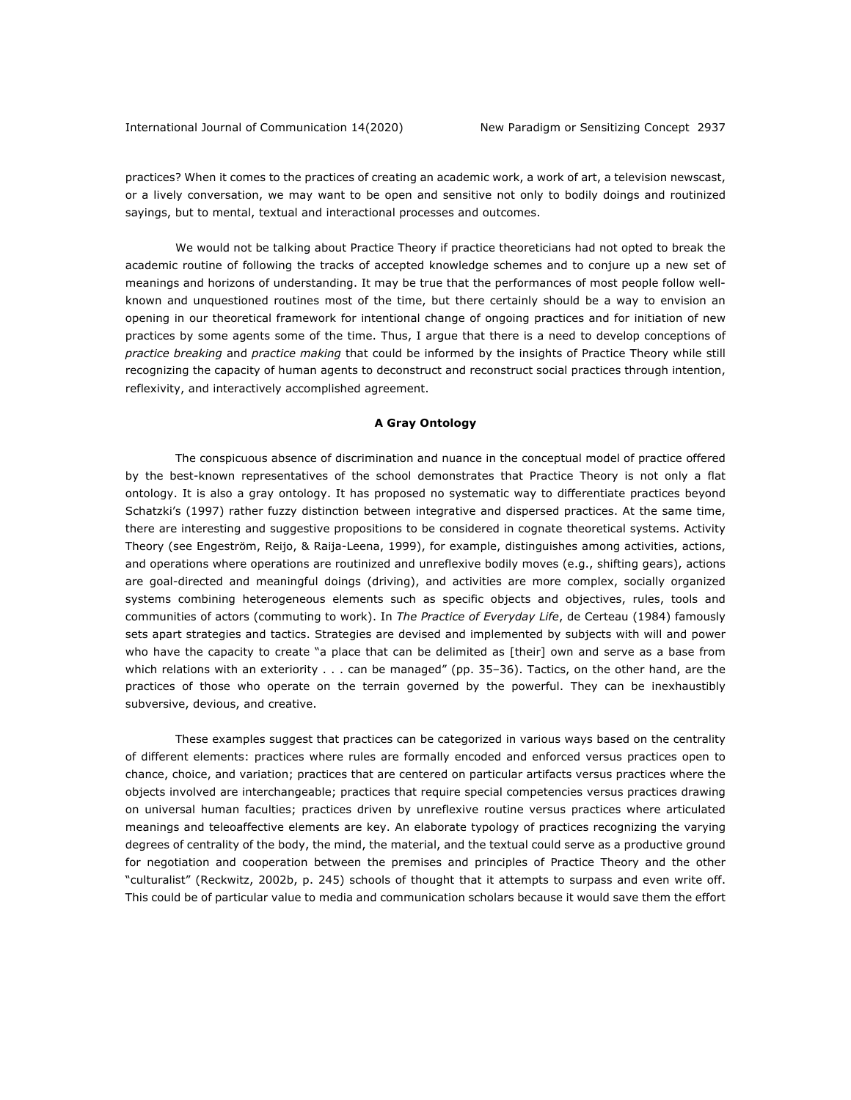practices? When it comes to the practices of creating an academic work, a work of art, a television newscast, or a lively conversation, we may want to be open and sensitive not only to bodily doings and routinized sayings, but to mental, textual and interactional processes and outcomes.

We would not be talking about Practice Theory if practice theoreticians had not opted to break the academic routine of following the tracks of accepted knowledge schemes and to conjure up a new set of meanings and horizons of understanding. It may be true that the performances of most people follow wellknown and unquestioned routines most of the time, but there certainly should be a way to envision an opening in our theoretical framework for intentional change of ongoing practices and for initiation of new practices by some agents some of the time. Thus, I argue that there is a need to develop conceptions of *practice breaking* and *practice making* that could be informed by the insights of Practice Theory while still recognizing the capacity of human agents to deconstruct and reconstruct social practices through intention, reflexivity, and interactively accomplished agreement.

#### **A Gray Ontology**

The conspicuous absence of discrimination and nuance in the conceptual model of practice offered by the best-known representatives of the school demonstrates that Practice Theory is not only a flat ontology. It is also a gray ontology. It has proposed no systematic way to differentiate practices beyond Schatzki's (1997) rather fuzzy distinction between integrative and dispersed practices. At the same time, there are interesting and suggestive propositions to be considered in cognate theoretical systems. Activity Theory (see Engeström, Reijo, & Raija-Leena, 1999), for example, distinguishes among activities, actions, and operations where operations are routinized and unreflexive bodily moves (e.g., shifting gears), actions are goal-directed and meaningful doings (driving), and activities are more complex, socially organized systems combining heterogeneous elements such as specific objects and objectives, rules, tools and communities of actors (commuting to work). In *The Practice of Everyday Life*, de Certeau (1984) famously sets apart strategies and tactics. Strategies are devised and implemented by subjects with will and power who have the capacity to create "a place that can be delimited as [their] own and serve as a base from which relations with an exteriority . . . can be managed" (pp. 35-36). Tactics, on the other hand, are the practices of those who operate on the terrain governed by the powerful. They can be inexhaustibly subversive, devious, and creative.

These examples suggest that practices can be categorized in various ways based on the centrality of different elements: practices where rules are formally encoded and enforced versus practices open to chance, choice, and variation; practices that are centered on particular artifacts versus practices where the objects involved are interchangeable; practices that require special competencies versus practices drawing on universal human faculties; practices driven by unreflexive routine versus practices where articulated meanings and teleoaffective elements are key. An elaborate typology of practices recognizing the varying degrees of centrality of the body, the mind, the material, and the textual could serve as a productive ground for negotiation and cooperation between the premises and principles of Practice Theory and the other "culturalist" (Reckwitz, 2002b, p. 245) schools of thought that it attempts to surpass and even write off. This could be of particular value to media and communication scholars because it would save them the effort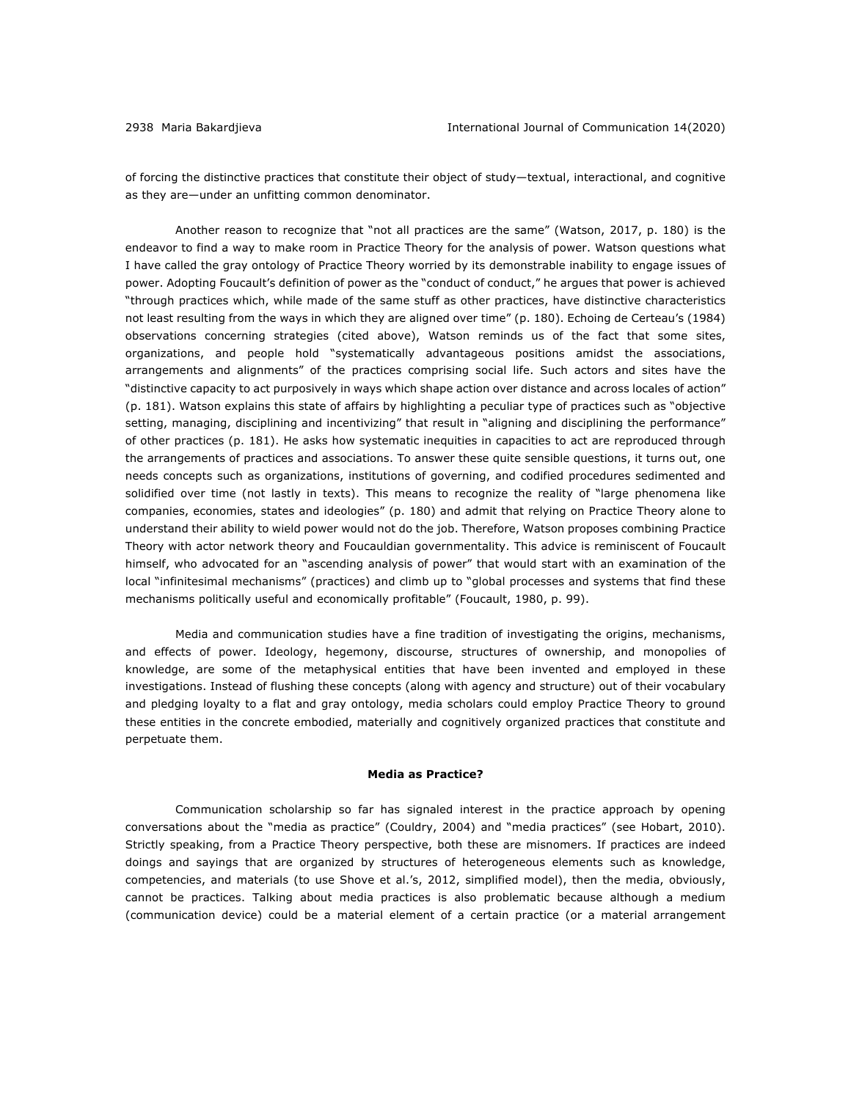of forcing the distinctive practices that constitute their object of study—textual, interactional, and cognitive as they are—under an unfitting common denominator.

Another reason to recognize that "not all practices are the same" (Watson, 2017, p. 180) is the endeavor to find a way to make room in Practice Theory for the analysis of power. Watson questions what I have called the gray ontology of Practice Theory worried by its demonstrable inability to engage issues of power. Adopting Foucault's definition of power as the "conduct of conduct," he argues that power is achieved "through practices which, while made of the same stuff as other practices, have distinctive characteristics not least resulting from the ways in which they are aligned over time" (p. 180). Echoing de Certeau's (1984) observations concerning strategies (cited above), Watson reminds us of the fact that some sites, organizations, and people hold "systematically advantageous positions amidst the associations, arrangements and alignments" of the practices comprising social life. Such actors and sites have the "distinctive capacity to act purposively in ways which shape action over distance and across locales of action" (p. 181). Watson explains this state of affairs by highlighting a peculiar type of practices such as "objective setting, managing, disciplining and incentivizing" that result in "aligning and disciplining the performance" of other practices (p. 181). He asks how systematic inequities in capacities to act are reproduced through the arrangements of practices and associations. To answer these quite sensible questions, it turns out, one needs concepts such as organizations, institutions of governing, and codified procedures sedimented and solidified over time (not lastly in texts). This means to recognize the reality of "large phenomena like companies, economies, states and ideologies" (p. 180) and admit that relying on Practice Theory alone to understand their ability to wield power would not do the job. Therefore, Watson proposes combining Practice Theory with actor network theory and Foucauldian governmentality. This advice is reminiscent of Foucault himself, who advocated for an "ascending analysis of power" that would start with an examination of the local "infinitesimal mechanisms" (practices) and climb up to "global processes and systems that find these mechanisms politically useful and economically profitable" (Foucault, 1980, p. 99).

Media and communication studies have a fine tradition of investigating the origins, mechanisms, and effects of power. Ideology, hegemony, discourse, structures of ownership, and monopolies of knowledge, are some of the metaphysical entities that have been invented and employed in these investigations. Instead of flushing these concepts (along with agency and structure) out of their vocabulary and pledging loyalty to a flat and gray ontology, media scholars could employ Practice Theory to ground these entities in the concrete embodied, materially and cognitively organized practices that constitute and perpetuate them.

#### **Media as Practice?**

Communication scholarship so far has signaled interest in the practice approach by opening conversations about the "media as practice" (Couldry, 2004) and "media practices" (see Hobart, 2010). Strictly speaking, from a Practice Theory perspective, both these are misnomers. If practices are indeed doings and sayings that are organized by structures of heterogeneous elements such as knowledge, competencies, and materials (to use Shove et al.'s, 2012, simplified model), then the media, obviously, cannot be practices. Talking about media practices is also problematic because although a medium (communication device) could be a material element of a certain practice (or a material arrangement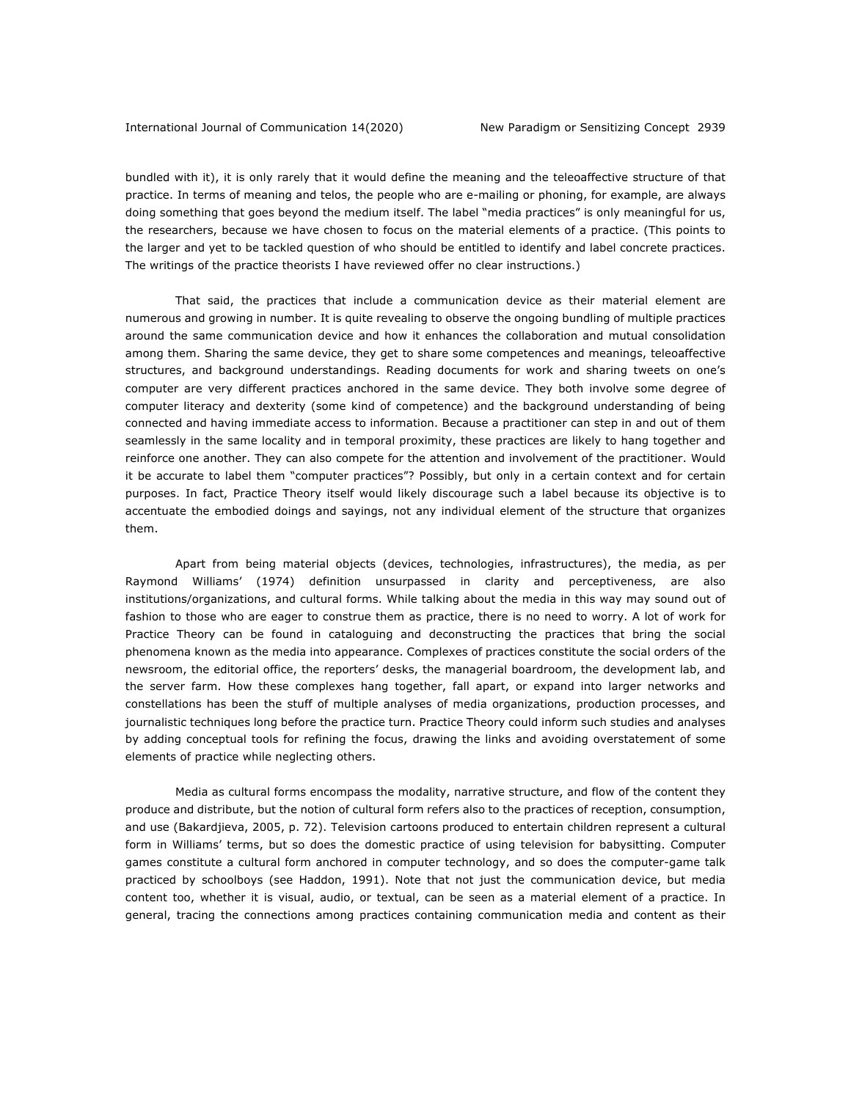bundled with it), it is only rarely that it would define the meaning and the teleoaffective structure of that practice. In terms of meaning and telos, the people who are e-mailing or phoning, for example, are always doing something that goes beyond the medium itself. The label "media practices" is only meaningful for us, the researchers, because we have chosen to focus on the material elements of a practice. (This points to the larger and yet to be tackled question of who should be entitled to identify and label concrete practices. The writings of the practice theorists I have reviewed offer no clear instructions.)

That said, the practices that include a communication device as their material element are numerous and growing in number. It is quite revealing to observe the ongoing bundling of multiple practices around the same communication device and how it enhances the collaboration and mutual consolidation among them. Sharing the same device, they get to share some competences and meanings, teleoaffective structures, and background understandings. Reading documents for work and sharing tweets on one's computer are very different practices anchored in the same device. They both involve some degree of computer literacy and dexterity (some kind of competence) and the background understanding of being connected and having immediate access to information. Because a practitioner can step in and out of them seamlessly in the same locality and in temporal proximity, these practices are likely to hang together and reinforce one another. They can also compete for the attention and involvement of the practitioner. Would it be accurate to label them "computer practices"? Possibly, but only in a certain context and for certain purposes. In fact, Practice Theory itself would likely discourage such a label because its objective is to accentuate the embodied doings and sayings, not any individual element of the structure that organizes them.

Apart from being material objects (devices, technologies, infrastructures), the media, as per Raymond Williams' (1974) definition unsurpassed in clarity and perceptiveness, are also institutions/organizations, and cultural forms. While talking about the media in this way may sound out of fashion to those who are eager to construe them as practice, there is no need to worry. A lot of work for Practice Theory can be found in cataloguing and deconstructing the practices that bring the social phenomena known as the media into appearance. Complexes of practices constitute the social orders of the newsroom, the editorial office, the reporters' desks, the managerial boardroom, the development lab, and the server farm. How these complexes hang together, fall apart, or expand into larger networks and constellations has been the stuff of multiple analyses of media organizations, production processes, and journalistic techniques long before the practice turn. Practice Theory could inform such studies and analyses by adding conceptual tools for refining the focus, drawing the links and avoiding overstatement of some elements of practice while neglecting others.

Media as cultural forms encompass the modality, narrative structure, and flow of the content they produce and distribute, but the notion of cultural form refers also to the practices of reception, consumption, and use (Bakardjieva, 2005, p. 72). Television cartoons produced to entertain children represent a cultural form in Williams' terms, but so does the domestic practice of using television for babysitting. Computer games constitute a cultural form anchored in computer technology, and so does the computer-game talk practiced by schoolboys (see Haddon, 1991). Note that not just the communication device, but media content too, whether it is visual, audio, or textual, can be seen as a material element of a practice. In general, tracing the connections among practices containing communication media and content as their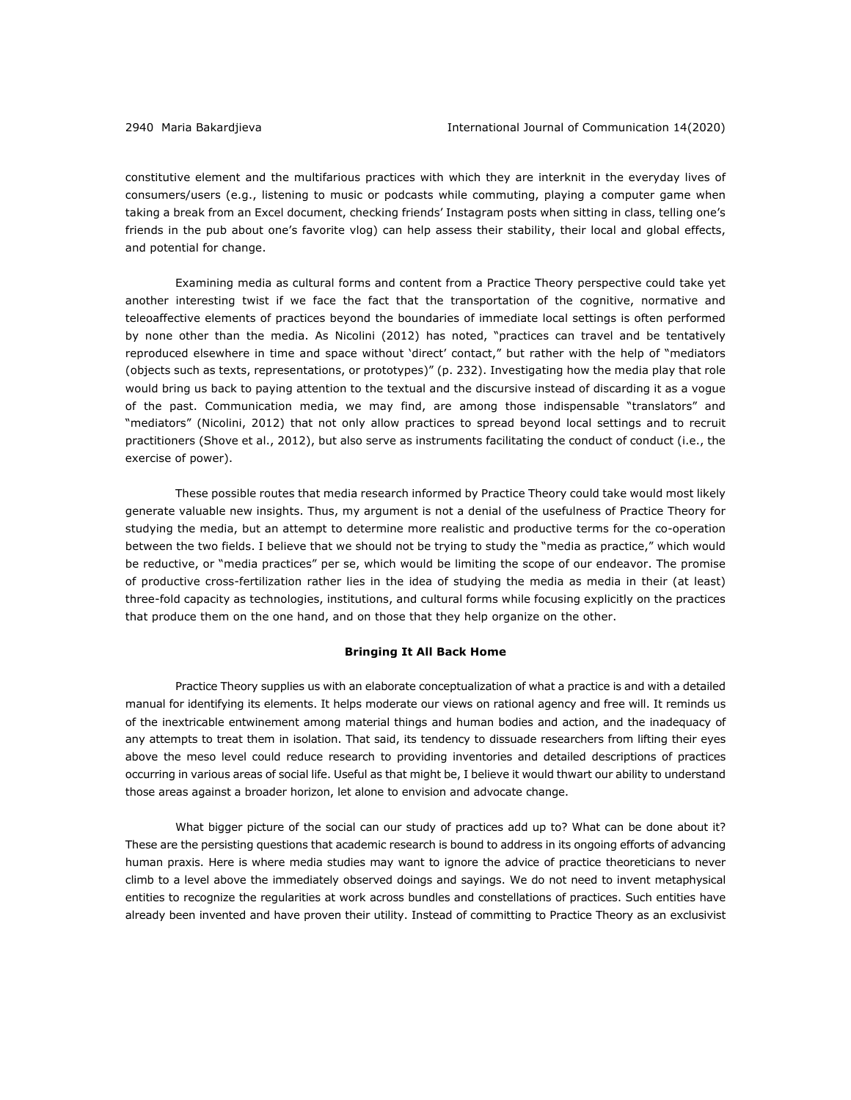constitutive element and the multifarious practices with which they are interknit in the everyday lives of consumers/users (e.g., listening to music or podcasts while commuting, playing a computer game when taking a break from an Excel document, checking friends' Instagram posts when sitting in class, telling one's friends in the pub about one's favorite vlog) can help assess their stability, their local and global effects, and potential for change.

Examining media as cultural forms and content from a Practice Theory perspective could take yet another interesting twist if we face the fact that the transportation of the cognitive, normative and teleoaffective elements of practices beyond the boundaries of immediate local settings is often performed by none other than the media. As Nicolini (2012) has noted, "practices can travel and be tentatively reproduced elsewhere in time and space without 'direct' contact," but rather with the help of "mediators (objects such as texts, representations, or prototypes)" (p. 232). Investigating how the media play that role would bring us back to paying attention to the textual and the discursive instead of discarding it as a vogue of the past. Communication media, we may find, are among those indispensable "translators" and "mediators" (Nicolini, 2012) that not only allow practices to spread beyond local settings and to recruit practitioners (Shove et al., 2012), but also serve as instruments facilitating the conduct of conduct (i.e., the exercise of power).

These possible routes that media research informed by Practice Theory could take would most likely generate valuable new insights. Thus, my argument is not a denial of the usefulness of Practice Theory for studying the media, but an attempt to determine more realistic and productive terms for the co-operation between the two fields. I believe that we should not be trying to study the "media as practice," which would be reductive, or "media practices" per se, which would be limiting the scope of our endeavor. The promise of productive cross-fertilization rather lies in the idea of studying the media as media in their (at least) three-fold capacity as technologies, institutions, and cultural forms while focusing explicitly on the practices that produce them on the one hand, and on those that they help organize on the other.

#### **Bringing It All Back Home**

Practice Theory supplies us with an elaborate conceptualization of what a practice is and with a detailed manual for identifying its elements. It helps moderate our views on rational agency and free will. It reminds us of the inextricable entwinement among material things and human bodies and action, and the inadequacy of any attempts to treat them in isolation. That said, its tendency to dissuade researchers from lifting their eyes above the meso level could reduce research to providing inventories and detailed descriptions of practices occurring in various areas of social life. Useful as that might be, I believe it would thwart our ability to understand those areas against a broader horizon, let alone to envision and advocate change.

What bigger picture of the social can our study of practices add up to? What can be done about it? These are the persisting questions that academic research is bound to address in its ongoing efforts of advancing human praxis. Here is where media studies may want to ignore the advice of practice theoreticians to never climb to a level above the immediately observed doings and sayings. We do not need to invent metaphysical entities to recognize the regularities at work across bundles and constellations of practices. Such entities have already been invented and have proven their utility. Instead of committing to Practice Theory as an exclusivist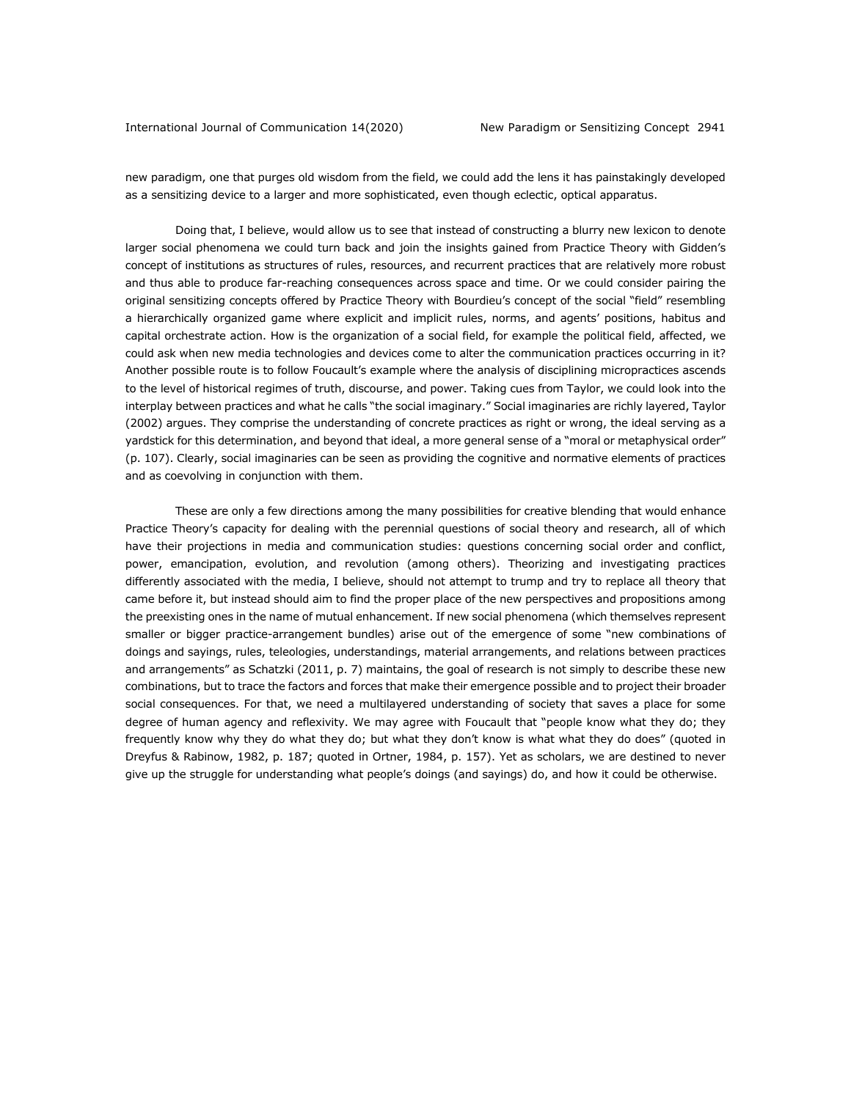new paradigm, one that purges old wisdom from the field, we could add the lens it has painstakingly developed as a sensitizing device to a larger and more sophisticated, even though eclectic, optical apparatus.

Doing that, I believe, would allow us to see that instead of constructing a blurry new lexicon to denote larger social phenomena we could turn back and join the insights gained from Practice Theory with Gidden's concept of institutions as structures of rules, resources, and recurrent practices that are relatively more robust and thus able to produce far-reaching consequences across space and time. Or we could consider pairing the original sensitizing concepts offered by Practice Theory with Bourdieu's concept of the social "field" resembling a hierarchically organized game where explicit and implicit rules, norms, and agents' positions, habitus and capital orchestrate action. How is the organization of a social field, for example the political field, affected, we could ask when new media technologies and devices come to alter the communication practices occurring in it? Another possible route is to follow Foucault's example where the analysis of disciplining micropractices ascends to the level of historical regimes of truth, discourse, and power. Taking cues from Taylor, we could look into the interplay between practices and what he calls "the social imaginary." Social imaginaries are richly layered, Taylor (2002) argues. They comprise the understanding of concrete practices as right or wrong, the ideal serving as a yardstick for this determination, and beyond that ideal, a more general sense of a "moral or metaphysical order" (p. 107). Clearly, social imaginaries can be seen as providing the cognitive and normative elements of practices and as coevolving in conjunction with them.

These are only a few directions among the many possibilities for creative blending that would enhance Practice Theory's capacity for dealing with the perennial questions of social theory and research, all of which have their projections in media and communication studies: questions concerning social order and conflict, power, emancipation, evolution, and revolution (among others). Theorizing and investigating practices differently associated with the media, I believe, should not attempt to trump and try to replace all theory that came before it, but instead should aim to find the proper place of the new perspectives and propositions among the preexisting ones in the name of mutual enhancement. If new social phenomena (which themselves represent smaller or bigger practice-arrangement bundles) arise out of the emergence of some "new combinations of doings and sayings, rules, teleologies, understandings, material arrangements, and relations between practices and arrangements" as Schatzki (2011, p. 7) maintains, the goal of research is not simply to describe these new combinations, but to trace the factors and forces that make their emergence possible and to project their broader social consequences. For that, we need a multilayered understanding of society that saves a place for some degree of human agency and reflexivity. We may agree with Foucault that "people know what they do; they frequently know why they do what they do; but what they don't know is what what they do does" (quoted in Dreyfus & Rabinow, 1982, p. 187; quoted in Ortner, 1984, p. 157). Yet as scholars, we are destined to never give up the struggle for understanding what people's doings (and sayings) do, and how it could be otherwise.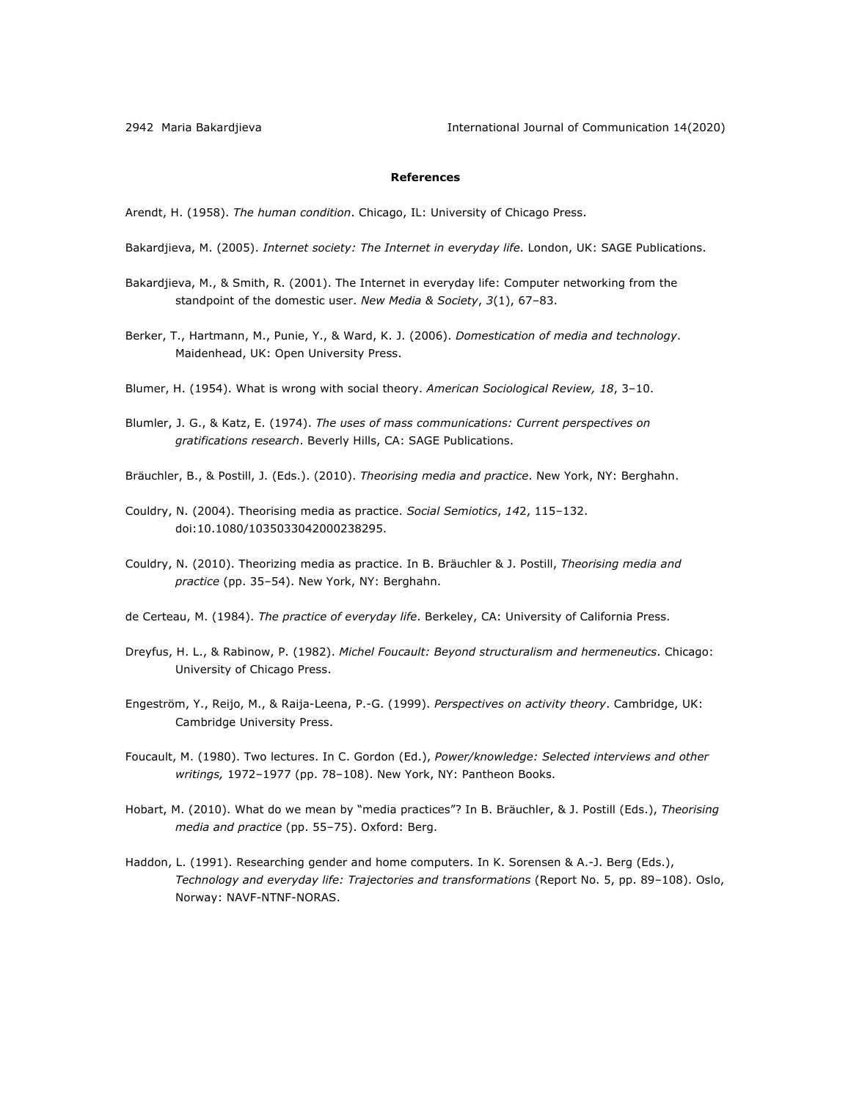2942 Maria Bakardjieva International Journal of Communication 14(2020)

# **References**

Arendt, H. (1958). *The human condition*. Chicago, IL: University of Chicago Press.

- Bakardjieva, M. (2005). *Internet society: The Internet in everyday life*. London, UK: SAGE Publications.
- Bakardjieva, M., & Smith, R. (2001). The Internet in everyday life: Computer networking from the standpoint of the domestic user. *New Media & Society*, *3*(1), 67–83.
- Berker, T., Hartmann, M., Punie, Y., & Ward, K. J. (2006). *Domestication of media and technology*. Maidenhead, UK: Open University Press.
- Blumer, H. (1954). What is wrong with social theory. *American Sociological Review, 18*, 3–10.
- Blumler, J. G., & Katz, E. (1974). *The uses of mass communications: Current perspectives on gratifications research*. Beverly Hills, CA: SAGE Publications.
- Bräuchler, B., & Postill, J. (Eds.). (2010). *Theorising media and practice*. New York, NY: Berghahn.
- Couldry, N. (2004). Theorising media as practice. *Social Semiotics*, *14*2, 115–132. doi:10.1080/1035033042000238295.
- Couldry, N. (2010). Theorizing media as practice. In B. Bräuchler & J. Postill, *Theorising media and*  practice (pp. 35-54). New York, NY: Berghahn.
- de Certeau, M. (1984). *The practice of everyday life*. Berkeley, CA: University of California Press.
- Dreyfus, H. L., & Rabinow, P. (1982). *Michel Foucault: Beyond structuralism and hermeneutics*. Chicago: University of Chicago Press.
- Engeström, Y., Reijo, M., & Raija-Leena, P.-G. (1999). *Perspectives on activity theory*. Cambridge, UK: Cambridge University Press.
- Foucault, M. (1980). Two lectures. In C. Gordon (Ed.), *Power/knowledge: Selected interviews and other writings,* 1972–1977 (pp. 78–108). New York, NY: Pantheon Books.
- Hobart, M. (2010). What do we mean by "media practices"? In B. Bräuchler, & J. Postill (Eds.), *Theorising media and practice* (pp. 55–75). Oxford: Berg.
- Haddon, L. (1991). Researching gender and home computers. In K. Sorensen & A.-J. Berg (Eds.), *Technology and everyday life: Trajectories and transformations* (Report No. 5, pp. 89–108). Oslo, Norway: NAVF-NTNF-NORAS.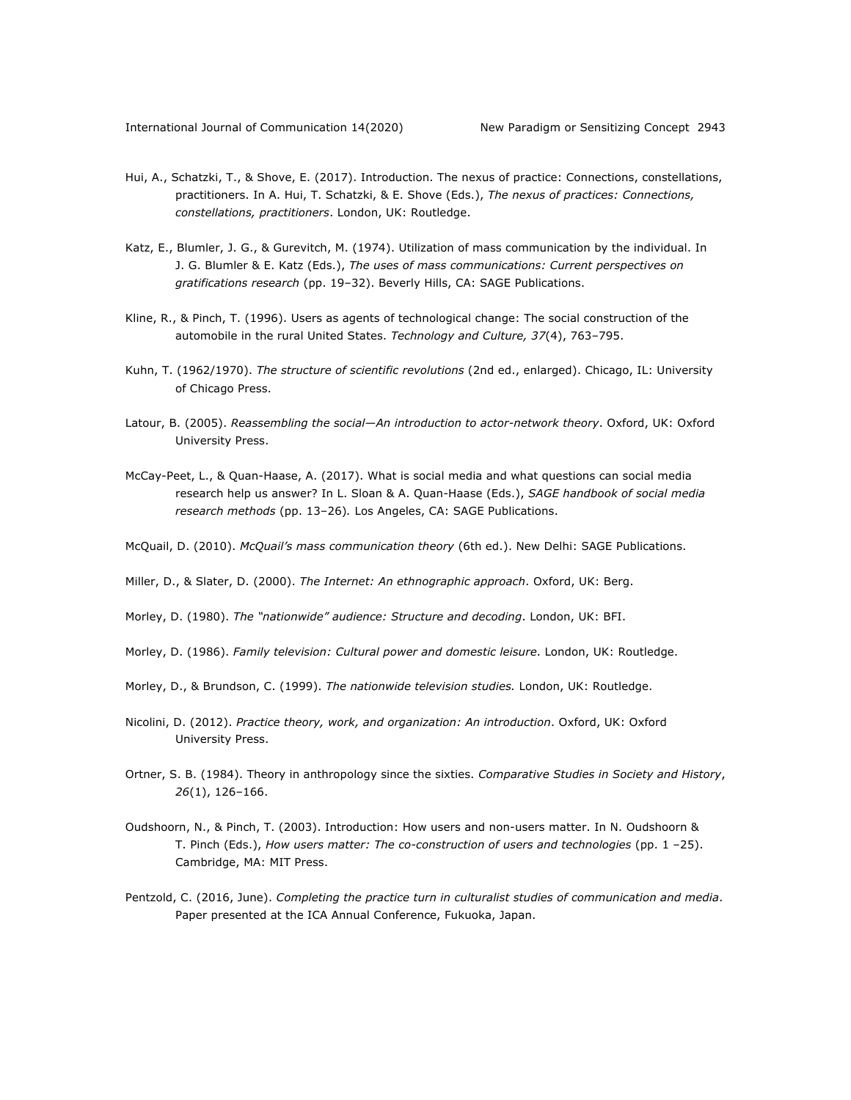- Hui, A., Schatzki, T., & Shove, E. (2017). Introduction. The nexus of practice: Connections, constellations, practitioners. In A. Hui, T. Schatzki, & E. Shove (Eds.), *The nexus of practices: Connections, constellations, practitioners*. London, UK: Routledge.
- Katz, E., Blumler, J. G., & Gurevitch, M. (1974). Utilization of mass communication by the individual. In J. G. Blumler & E. Katz (Eds.), *The uses of mass communications: Current perspectives on gratifications research* (pp. 19–32). Beverly Hills, CA: SAGE Publications.
- Kline, R., & Pinch, T. (1996). Users as agents of technological change: The social construction of the automobile in the rural United States. *Technology and Culture, 37*(4), 763–795.
- Kuhn, T. (1962/1970). *The structure of scientific revolutions* (2nd ed., enlarged). Chicago, IL: University of Chicago Press.
- Latour, B. (2005). *Reassembling the social—An introduction to actor-network theory*. Oxford, UK: Oxford University Press.
- McCay-Peet, L., & Quan-Haase, A. (2017). What is social media and what questions can social media research help us answer? In L. Sloan & A. Quan-Haase (Eds.), *SAGE handbook of social media research methods* (pp. 13‒26)*.* Los Angeles, CA: SAGE Publications.
- McQuail, D. (2010). *McQuail's mass communication theory* (6th ed.). New Delhi: SAGE Publications.
- Miller, D., & Slater, D. (2000). *The Internet: An ethnographic approach*. Oxford, UK: Berg.
- Morley, D. (1980). *The "nationwide" audience: Structure and decoding*. London, UK: BFI.
- Morley, D. (1986). *Family television: Cultural power and domestic leisure*. London, UK: Routledge.
- Morley, D., & Brundson, C. (1999). *The nationwide television studies.* London, UK: Routledge.
- Nicolini, D. (2012). *Practice theory, work, and organization: An introduction*. Oxford, UK: Oxford University Press.
- Ortner, S. B. (1984). Theory in anthropology since the sixties. *Comparative Studies in Society and History*, *26*(1), 126–166.
- Oudshoorn, N., & Pinch, T. (2003). Introduction: How users and non-users matter. In N. Oudshoorn & T. Pinch (Eds.), *How users matter: The co-construction of users and technologies* (pp. 1 ‒25). Cambridge, MA: MIT Press.
- Pentzold, C. (2016, June). *Completing the practice turn in culturalist studies of communication and media*. Paper presented at the ICA Annual Conference, Fukuoka, Japan.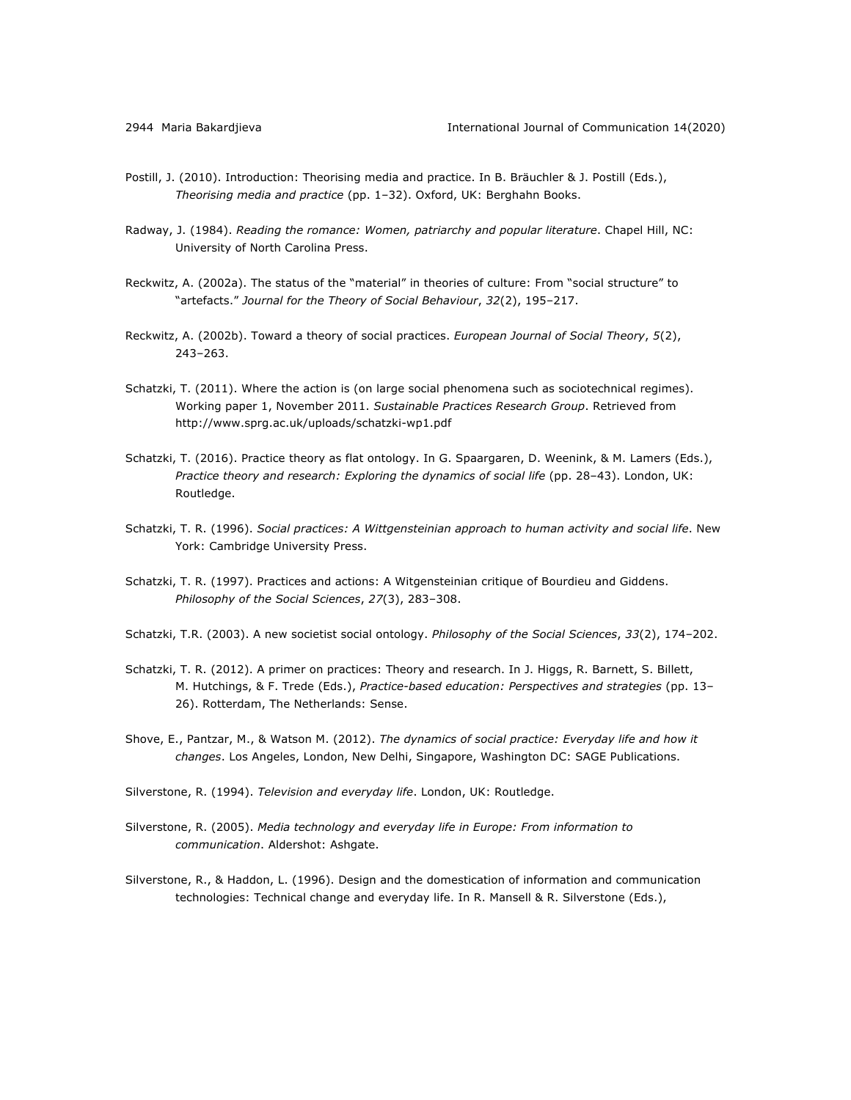- Postill, J. (2010). Introduction: Theorising media and practice. In B. Bräuchler & J. Postill (Eds.), *Theorising media and practice* (pp. 1‒32). Oxford, UK: Berghahn Books.
- Radway, J. (1984). *Reading the romance: Women, patriarchy and popular literature*. Chapel Hill, NC: University of North Carolina Press.
- Reckwitz, A. (2002a). The status of the "material" in theories of culture: From "social structure" to "artefacts." *Journal for the Theory of Social Behaviour*, *32*(2), 195–217.
- Reckwitz, A. (2002b). Toward a theory of social practices. *European Journal of Social Theory*, *5*(2), 243–263.
- Schatzki, T. (2011). Where the action is (on large social phenomena such as sociotechnical regimes). Working paper 1, November 2011. *Sustainable Practices Research Group*. Retrieved from http://www.sprg.ac.uk/uploads/schatzki-wp1.pdf
- Schatzki, T. (2016). Practice theory as flat ontology. In G. Spaargaren, D. Weenink, & M. Lamers (Eds.), *Practice theory and research: Exploring the dynamics of social life* (pp. 28–43). London, UK: Routledge.
- Schatzki, T. R. (1996). *Social practices: A Wittgensteinian approach to human activity and social life*. New York: Cambridge University Press.
- Schatzki, T. R. (1997). Practices and actions: A Witgensteinian critique of Bourdieu and Giddens. *Philosophy of the Social Sciences*, *27*(3), 283–308.
- Schatzki, T.R. (2003). A new societist social ontology. *Philosophy of the Social Sciences*, *33*(2), 174–202.
- Schatzki, T. R. (2012). A primer on practices: Theory and research. In J. Higgs, R. Barnett, S. Billett, M. Hutchings, & F. Trede (Eds.), *Practice-based education: Perspectives and strategies* (pp. 13– 26). Rotterdam, The Netherlands: Sense.
- Shove, E., Pantzar, M., & Watson M. (2012). *The dynamics of social practice: Everyday life and how it changes*. Los Angeles, London, New Delhi, Singapore, Washington DC: SAGE Publications.
- Silverstone, R. (1994). *Television and everyday life*. London, UK: Routledge.
- Silverstone, R. (2005). *Media technology and everyday life in Europe: From information to communication*. Aldershot: Ashgate.
- Silverstone, R., & Haddon, L. (1996). Design and the domestication of information and communication technologies: Technical change and everyday life. In R. Mansell & R. Silverstone (Eds.),